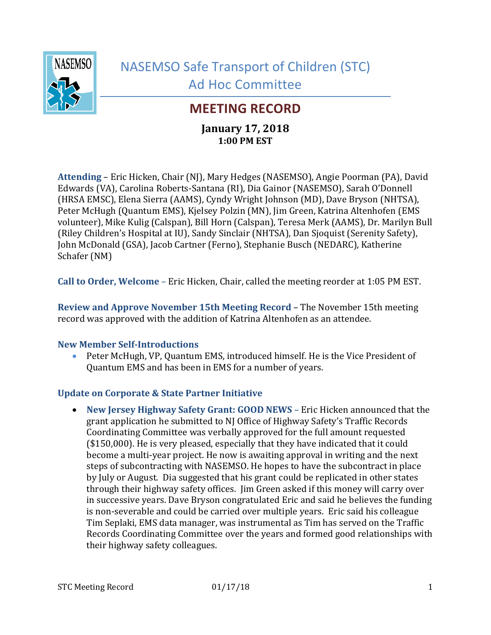

# **MEETING RECORD**

# **January 17, 2018 1:00 PM EST**

**Attending** – Eric Hicken, Chair (NJ), Mary Hedges (NASEMSO), Angie Poorman (PA), David Edwards (VA), Carolina Roberts-Santana (RI), Dia Gainor (NASEMSO), Sarah O'Donnell (HRSA EMSC), Elena Sierra (AAMS), Cyndy Wright Johnson (MD), Dave Bryson (NHTSA), Peter McHugh (Quantum EMS), Kjelsey Polzin (MN), Jim Green, Katrina Altenhofen (EMS volunteer), Mike Kulig (Calspan), Bill Horn (Calspan), Teresa Merk (AAMS), Dr. Marilyn Bull (Riley Children's Hospital at IU), Sandy Sinclair (NHTSA), Dan Sjoquist (Serenity Safety), John McDonald (GSA), Jacob Cartner (Ferno), Stephanie Busch (NEDARC), Katherine Schafer (NM)

**Call to Order, Welcome** – Eric Hicken, Chair, called the meeting reorder at 1:05 PM EST.

**Review and Approve November 15th Meeting Record** – The November 15th meeting record was approved with the addition of Katrina Altenhofen as an attendee.

### **New Member Self-Introductions**

 Peter McHugh, VP, Quantum EMS, introduced himself. He is the Vice President of Quantum EMS and has been in EMS for a number of years.

## **Update on Corporate & State Partner Initiative**

 **New Jersey Highway Safety Grant: GOOD NEWS** – Eric Hicken announced that the grant application he submitted to NJ Office of Highway Safety's Traffic Records Coordinating Committee was verbally approved for the full amount requested (\$150,000). He is very pleased, especially that they have indicated that it could become a multi-year project. He now is awaiting approval in writing and the next steps of subcontracting with NASEMSO. He hopes to have the subcontract in place by July or August. Dia suggested that his grant could be replicated in other states through their highway safety offices. Jim Green asked if this money will carry over in successive years. Dave Bryson congratulated Eric and said he believes the funding is non-severable and could be carried over multiple years. Eric said his colleague Tim Seplaki, EMS data manager, was instrumental as Tim has served on the Traffic Records Coordinating Committee over the years and formed good relationships with their highway safety colleagues.